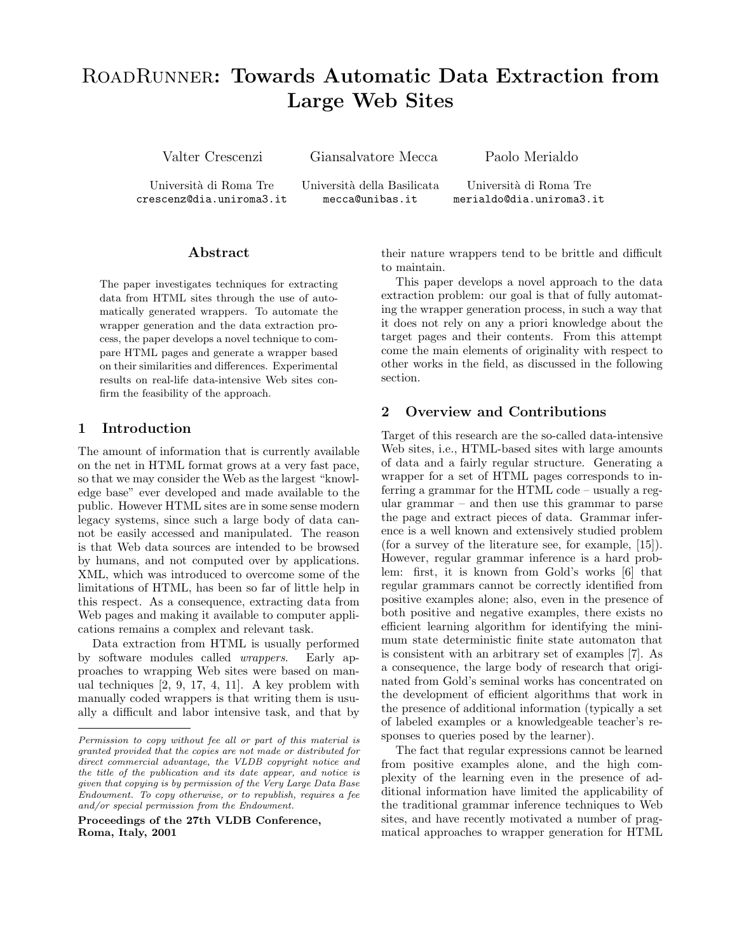# ROADRUNNER: Towards Automatic Data Extraction from Large Web Sites

Valter Crescenzi Giansalvatore Mecca Paolo Merialdo

crescenz@dia.uniroma3.it mecca@unibas.it merialdo@dia.uniroma3.it

Universit`a di Roma Tre Universit`a della Basilicata Universit`a di Roma Tre

#### Abstract

The paper investigates techniques for extracting data from HTML sites through the use of automatically generated wrappers. To automate the wrapper generation and the data extraction process, the paper develops a novel technique to compare HTML pages and generate a wrapper based on their similarities and differences. Experimental results on real-life data-intensive Web sites confirm the feasibility of the approach.

#### 1 Introduction

The amount of information that is currently available on the net in HTML format grows at a very fast pace, so that we may consider the Web as the largest "knowledge base" ever developed and made available to the public. However HTML sites are in some sense modern legacy systems, since such a large body of data cannot be easily accessed and manipulated. The reason is that Web data sources are intended to be browsed by humans, and not computed over by applications. XML, which was introduced to overcome some of the limitations of HTML, has been so far of little help in this respect. As a consequence, extracting data from Web pages and making it available to computer applications remains a complex and relevant task.

Data extraction from HTML is usually performed by software modules called wrappers. Early approaches to wrapping Web sites were based on manual techniques [2, 9, 17, 4, 11]. A key problem with manually coded wrappers is that writing them is usually a difficult and labor intensive task, and that by their nature wrappers tend to be brittle and difficult to maintain.

This paper develops a novel approach to the data extraction problem: our goal is that of fully automating the wrapper generation process, in such a way that it does not rely on any a priori knowledge about the target pages and their contents. From this attempt come the main elements of originality with respect to other works in the field, as discussed in the following section.

# 2 Overview and Contributions

Target of this research are the so-called data-intensive Web sites, i.e., HTML-based sites with large amounts of data and a fairly regular structure. Generating a wrapper for a set of HTML pages corresponds to inferring a grammar for the HTML code – usually a regular grammar – and then use this grammar to parse the page and extract pieces of data. Grammar inference is a well known and extensively studied problem (for a survey of the literature see, for example, [15]). However, regular grammar inference is a hard problem: first, it is known from Gold's works [6] that regular grammars cannot be correctly identified from positive examples alone; also, even in the presence of both positive and negative examples, there exists no efficient learning algorithm for identifying the minimum state deterministic finite state automaton that is consistent with an arbitrary set of examples [7]. As a consequence, the large body of research that originated from Gold's seminal works has concentrated on the development of efficient algorithms that work in the presence of additional information (typically a set of labeled examples or a knowledgeable teacher's responses to queries posed by the learner).

The fact that regular expressions cannot be learned from positive examples alone, and the high complexity of the learning even in the presence of additional information have limited the applicability of the traditional grammar inference techniques to Web sites, and have recently motivated a number of pragmatical approaches to wrapper generation for HTML

Permission to copy without fee all or part of this material is granted provided that the copies are not made or distributed for direct commercial advantage, the VLDB copyright notice and the title of the publication and its date appear, and notice is given that copying is by permission of the Very Large Data Base Endowment. To copy otherwise, or to republish, requires a fee and/or special permission from the Endowment.

Proceedings of the 27th VLDB Conference, Roma, Italy, 2001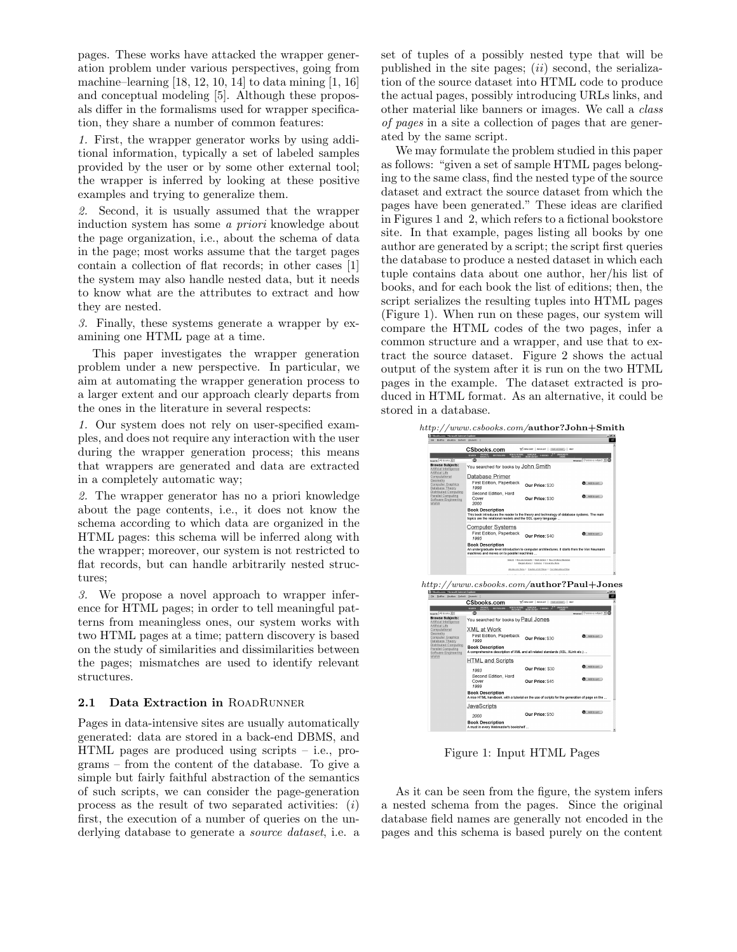pages. These works have attacked the wrapper generation problem under various perspectives, going from machine–learning  $[18, 12, 10, 14]$  to data mining  $[1, 16]$ and conceptual modeling [5]. Although these proposals differ in the formalisms used for wrapper specification, they share a number of common features:

1. First, the wrapper generator works by using additional information, typically a set of labeled samples provided by the user or by some other external tool; the wrapper is inferred by looking at these positive examples and trying to generalize them.

2. Second, it is usually assumed that the wrapper induction system has some a priori knowledge about the page organization, i.e., about the schema of data in the page; most works assume that the target pages contain a collection of flat records; in other cases [1] the system may also handle nested data, but it needs to know what are the attributes to extract and how they are nested.

3. Finally, these systems generate a wrapper by examining one HTML page at a time.

This paper investigates the wrapper generation problem under a new perspective. In particular, we aim at automating the wrapper generation process to a larger extent and our approach clearly departs from the ones in the literature in several respects:

1. Our system does not rely on user-specified examples, and does not require any interaction with the user during the wrapper generation process; this means that wrappers are generated and data are extracted in a completely automatic way;

2. The wrapper generator has no a priori knowledge about the page contents, i.e., it does not know the schema according to which data are organized in the HTML pages: this schema will be inferred along with the wrapper; moreover, our system is not restricted to flat records, but can handle arbitrarily nested structures;

3. We propose a novel approach to wrapper inference for HTML pages; in order to tell meaningful patterns from meaningless ones, our system works with two HTML pages at a time; pattern discovery is based on the study of similarities and dissimilarities between the pages; mismatches are used to identify relevant structures.

#### 2.1 Data Extraction in ROADRUNNER

Pages in data-intensive sites are usually automatically generated: data are stored in a back-end DBMS, and HTML pages are produced using scripts – i.e., programs – from the content of the database. To give a simple but fairly faithful abstraction of the semantics of such scripts, we can consider the page-generation process as the result of two separated activities:  $(i)$ first, the execution of a number of queries on the underlying database to generate a *source dataset*, i.e. a

set of tuples of a possibly nested type that will be published in the site pages;  $(ii)$  second, the serialization of the source dataset into HTML code to produce the actual pages, possibly introducing URLs links, and other material like banners or images. We call a class of pages in a site a collection of pages that are generated by the same script.

We may formulate the problem studied in this paper as follows: "given a set of sample HTML pages belonging to the same class, find the nested type of the source dataset and extract the source dataset from which the pages have been generated." These ideas are clarified in Figures 1 and 2, which refers to a fictional bookstore site. In that example, pages listing all books by one author are generated by a script; the script first queries the database to produce a nested dataset in which each tuple contains data about one author, her/his list of books, and for each book the list of editions; then, the script serializes the resulting tuples into HTML pages (Figure 1). When run on these pages, our system will compare the HTML codes of the two pages, infer a common structure and a wrapper, and use that to extract the source dataset. Figure 2 shows the actual output of the system after it is run on the two HTML pages in the example. The dataset extracted is produced in HTML format. As an alternative, it could be stored in a database.





Figure 1: Input HTML Pages

As it can be seen from the figure, the system infers a nested schema from the pages. Since the original database field names are generally not encoded in the pages and this schema is based purely on the content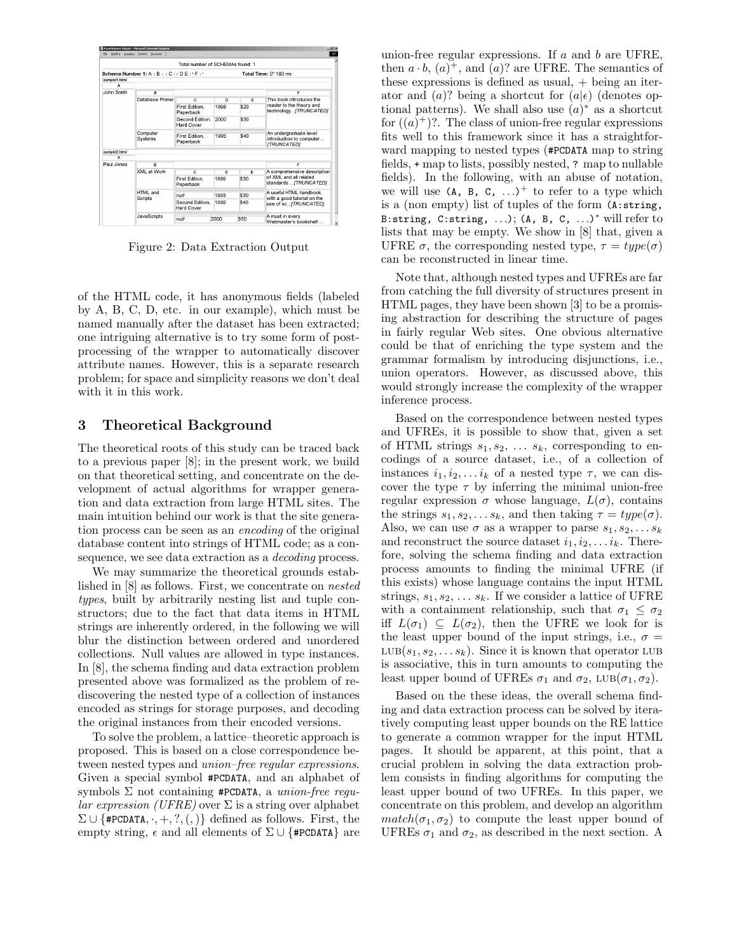|              | File Noditica Visualizza Prefecti Strumenti ? |                                  |              |      |                                                                          |  |
|--------------|-----------------------------------------------|----------------------------------|--------------|------|--------------------------------------------------------------------------|--|
|              |                                               | Total number of SCHEMAs found: 1 |              |      |                                                                          |  |
|              | Schema Number 1: A (B ( (C ) ? D E ) * F ) *  |                                  |              |      | Total Time: 0" 180 ms                                                    |  |
| sample1.html |                                               |                                  |              |      |                                                                          |  |
| ٨            |                                               |                                  |              |      |                                                                          |  |
| John Smith   | R                                             |                                  |              |      |                                                                          |  |
|              | Database Primer                               | $\overline{c}$                   | n            | E    | This book introduces the                                                 |  |
|              |                                               | First Edition.<br>Paperback      | 1998         | \$20 | reader to the theory and<br>technologyfTRUNCATED1                        |  |
|              |                                               | Second Edition.<br>Hard Cover    | 2000         | \$30 |                                                                          |  |
|              | Computer<br>Systems                           | First Edition.<br>Paperback      | 1995<br>\$40 |      | An undergraduate level<br>introduction to computer<br><b>ITRUNCATEDI</b> |  |
| sample2.html |                                               |                                  |              |      |                                                                          |  |
| A            |                                               |                                  |              |      |                                                                          |  |
| Paul Jones   | $\overline{B}$                                |                                  |              |      |                                                                          |  |
|              | XML at Work                                   | $\overline{c}$                   | D.           | F    | A comprehensive description                                              |  |
|              |                                               | First Edition.<br>Paperback      | 1999         | \$30 | of XML and all related<br>standards  [TRUNCATED]                         |  |
|              | HTML and<br>Scripts                           | mill                             | 1993         | \$30 | A useful HTML handbook.<br>with a good tutorial on the                   |  |
|              |                                               | Second Edition.<br>Hard Cover    | 1999         | \$45 | use of scITRUNCATED!                                                     |  |
|              | <b>JavaScripts</b>                            | null                             | 2000         | \$50 | A must in every<br>Webmaster's bookshelf                                 |  |

Figure 2: Data Extraction Output

of the HTML code, it has anonymous fields (labeled by A, B, C, D, etc. in our example), which must be named manually after the dataset has been extracted; one intriguing alternative is to try some form of postprocessing of the wrapper to automatically discover attribute names. However, this is a separate research problem; for space and simplicity reasons we don't deal with it in this work.

# 3 Theoretical Background

The theoretical roots of this study can be traced back to a previous paper [8]; in the present work, we build on that theoretical setting, and concentrate on the development of actual algorithms for wrapper generation and data extraction from large HTML sites. The main intuition behind our work is that the site generation process can be seen as an encoding of the original database content into strings of HTML code; as a consequence, we see data extraction as a *decoding* process.

We may summarize the theoretical grounds established in [8] as follows. First, we concentrate on nested types, built by arbitrarily nesting list and tuple constructors; due to the fact that data items in HTML strings are inherently ordered, in the following we will blur the distinction between ordered and unordered collections. Null values are allowed in type instances. In [8], the schema finding and data extraction problem presented above was formalized as the problem of rediscovering the nested type of a collection of instances encoded as strings for storage purposes, and decoding the original instances from their encoded versions.

To solve the problem, a lattice–theoretic approach is proposed. This is based on a close correspondence between nested types and union–free regular expressions. Given a special symbol #PCDATA, and an alphabet of symbols  $\Sigma$  not containing #PCDATA, a union-free regular expression (UFRE) over  $\Sigma$  is a string over alphabet  $\Sigma \cup \{\texttt{\#PCDATA}, \cdot, +, ?, (,) \}$  defined as follows. First, the empty string,  $\epsilon$  and all elements of  $\Sigma \cup \{\texttt{\#PCDATA}\}\$ are

union-free regular expressions. If  $a$  and  $b$  are UFRE, then  $a \cdot b$ ,  $(a)^+$ , and  $(a)$ ? are UFRE. The semantics of these expressions is defined as usual, + being an iterator and (a)? being a shortcut for  $(a|\epsilon)$  (denotes optional patterns). We shall also use  $(a)^*$  as a shortcut for  $((a)^+)$ ?. The class of union-free regular expressions fits well to this framework since it has a straightforward mapping to nested types (#PCDATA map to string fields, + map to lists, possibly nested, ? map to nullable fields). In the following, with an abuse of notation, we will use  $(A, B, C, ...)$ <sup>+</sup> to refer to a type which is a (non empty) list of tuples of the form (A:string, B:string, C:string, ...); (A, B, C, ...)\* will refer to lists that may be empty. We show in [8] that, given a UFRE  $\sigma$ , the corresponding nested type,  $\tau = type(\sigma)$ can be reconstructed in linear time.

Note that, although nested types and UFREs are far from catching the full diversity of structures present in HTML pages, they have been shown [3] to be a promising abstraction for describing the structure of pages in fairly regular Web sites. One obvious alternative could be that of enriching the type system and the grammar formalism by introducing disjunctions, i.e., union operators. However, as discussed above, this would strongly increase the complexity of the wrapper inference process.

Based on the correspondence between nested types and UFREs, it is possible to show that, given a set of HTML strings  $s_1, s_2, \ldots s_k$ , corresponding to encodings of a source dataset, i.e., of a collection of instances  $i_1, i_2, \ldots i_k$  of a nested type  $\tau$ , we can discover the type  $\tau$  by inferring the minimal union-free regular expression  $\sigma$  whose language,  $L(\sigma)$ , contains the strings  $s_1, s_2, \ldots s_k$ , and then taking  $\tau = type(\sigma)$ . Also, we can use  $\sigma$  as a wrapper to parse  $s_1, s_2, \ldots s_k$ and reconstruct the source dataset  $i_1, i_2, \ldots i_k$ . Therefore, solving the schema finding and data extraction process amounts to finding the minimal UFRE (if this exists) whose language contains the input HTML strings,  $s_1, s_2, \ldots s_k$ . If we consider a lattice of UFRE with a containment relationship, such that  $\sigma_1 \leq \sigma_2$ iff  $L(\sigma_1) \subseteq L(\sigma_2)$ , then the UFRE we look for is the least upper bound of the input strings, i.e.,  $\sigma =$  $LUB(s_1, s_2, \ldots s_k)$ . Since it is known that operator LUB is associative, this in turn amounts to computing the least upper bound of UFREs  $\sigma_1$  and  $\sigma_2$ , LUB( $\sigma_1$ ,  $\sigma_2$ ).

Based on the these ideas, the overall schema finding and data extraction process can be solved by iteratively computing least upper bounds on the RE lattice to generate a common wrapper for the input HTML pages. It should be apparent, at this point, that a crucial problem in solving the data extraction problem consists in finding algorithms for computing the least upper bound of two UFREs. In this paper, we concentrate on this problem, and develop an algorithm  $match(\sigma_1, \sigma_2)$  to compute the least upper bound of UFREs  $\sigma_1$  and  $\sigma_2$ , as described in the next section. A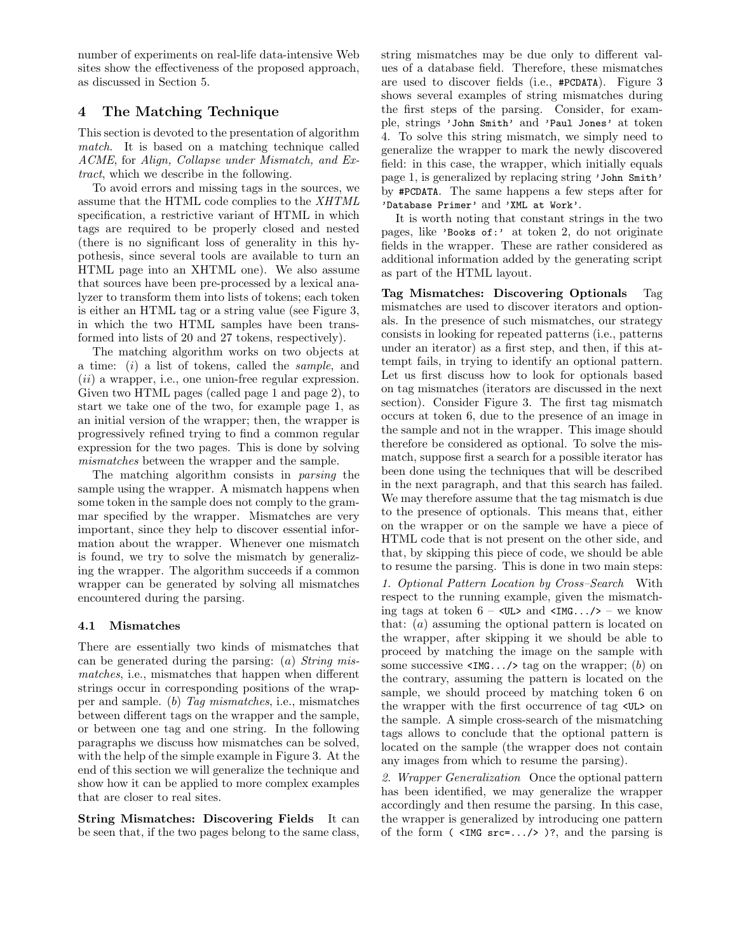number of experiments on real-life data-intensive Web sites show the effectiveness of the proposed approach, as discussed in Section 5.

# 4 The Matching Technique

This section is devoted to the presentation of algorithm match. It is based on a matching technique called ACME, for Align, Collapse under Mismatch, and Extract, which we describe in the following.

To avoid errors and missing tags in the sources, we assume that the HTML code complies to the XHTML specification, a restrictive variant of HTML in which tags are required to be properly closed and nested (there is no significant loss of generality in this hypothesis, since several tools are available to turn an HTML page into an XHTML one). We also assume that sources have been pre-processed by a lexical analyzer to transform them into lists of tokens; each token is either an HTML tag or a string value (see Figure 3, in which the two HTML samples have been transformed into lists of 20 and 27 tokens, respectively).

The matching algorithm works on two objects at a time:  $(i)$  a list of tokens, called the *sample*, and  $(ii)$  a wrapper, i.e., one union-free regular expression. Given two HTML pages (called page 1 and page 2), to start we take one of the two, for example page 1, as an initial version of the wrapper; then, the wrapper is progressively refined trying to find a common regular expression for the two pages. This is done by solving mismatches between the wrapper and the sample.

The matching algorithm consists in parsing the sample using the wrapper. A mismatch happens when some token in the sample does not comply to the grammar specified by the wrapper. Mismatches are very important, since they help to discover essential information about the wrapper. Whenever one mismatch is found, we try to solve the mismatch by generalizing the wrapper. The algorithm succeeds if a common wrapper can be generated by solving all mismatches encountered during the parsing.

# 4.1 Mismatches

There are essentially two kinds of mismatches that can be generated during the parsing:  $(a)$  String mismatches, i.e., mismatches that happen when different strings occur in corresponding positions of the wrapper and sample. (b) Tag mismatches, i.e., mismatches between different tags on the wrapper and the sample, or between one tag and one string. In the following paragraphs we discuss how mismatches can be solved, with the help of the simple example in Figure 3. At the end of this section we will generalize the technique and show how it can be applied to more complex examples that are closer to real sites.

String Mismatches: Discovering Fields It can be seen that, if the two pages belong to the same class, string mismatches may be due only to different values of a database field. Therefore, these mismatches are used to discover fields (i.e., #PCDATA). Figure 3 shows several examples of string mismatches during the first steps of the parsing. Consider, for example, strings 'John Smith' and 'Paul Jones' at token 4. To solve this string mismatch, we simply need to generalize the wrapper to mark the newly discovered field: in this case, the wrapper, which initially equals page 1, is generalized by replacing string 'John Smith' by #PCDATA. The same happens a few steps after for 'Database Primer' and 'XML at Work'.

It is worth noting that constant strings in the two pages, like 'Books of:' at token 2, do not originate fields in the wrapper. These are rather considered as additional information added by the generating script as part of the HTML layout.

Tag Mismatches: Discovering Optionals Tag mismatches are used to discover iterators and optionals. In the presence of such mismatches, our strategy consists in looking for repeated patterns (i.e., patterns under an iterator) as a first step, and then, if this attempt fails, in trying to identify an optional pattern. Let us first discuss how to look for optionals based on tag mismatches (iterators are discussed in the next section). Consider Figure 3. The first tag mismatch occurs at token 6, due to the presence of an image in the sample and not in the wrapper. This image should therefore be considered as optional. To solve the mismatch, suppose first a search for a possible iterator has been done using the techniques that will be described in the next paragraph, and that this search has failed. We may therefore assume that the tag mismatch is due to the presence of optionals. This means that, either on the wrapper or on the sample we have a piece of HTML code that is not present on the other side, and that, by skipping this piece of code, we should be able to resume the parsing. This is done in two main steps: 1. Optional Pattern Location by Cross–Search With respect to the running example, given the mismatching tags at token  $6 - \langle UL \rangle$  and  $\langle IMG... \rangle$  – we know that: (a) assuming the optional pattern is located on the wrapper, after skipping it we should be able to proceed by matching the image on the sample with some successive  $\langle M\mathcal{G} \dots \rangle$  tag on the wrapper; (b) on the contrary, assuming the pattern is located on the sample, we should proceed by matching token 6 on the wrapper with the first occurrence of tag <UL> on the sample. A simple cross-search of the mismatching tags allows to conclude that the optional pattern is located on the sample (the wrapper does not contain any images from which to resume the parsing).

2. Wrapper Generalization Once the optional pattern has been identified, we may generalize the wrapper accordingly and then resume the parsing. In this case, the wrapper is generalized by introducing one pattern of the form  $($  <IMG src=.../>  $)$ ?, and the parsing is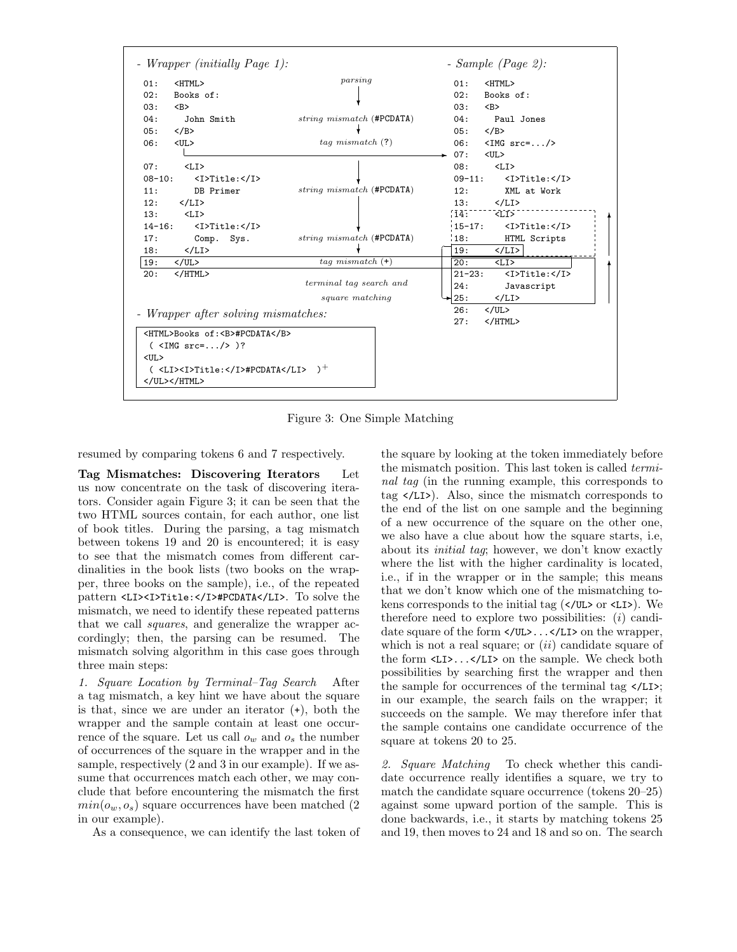

Figure 3: One Simple Matching

resumed by comparing tokens 6 and 7 respectively.

Tag Mismatches: Discovering Iterators Let us now concentrate on the task of discovering iterators. Consider again Figure 3; it can be seen that the two HTML sources contain, for each author, one list of book titles. During the parsing, a tag mismatch between tokens 19 and 20 is encountered; it is easy to see that the mismatch comes from different cardinalities in the book lists (two books on the wrapper, three books on the sample), i.e., of the repeated pattern <LI><I>Title:</I>\*PCDATA</LI>. To solve the mismatch, we need to identify these repeated patterns that we call squares, and generalize the wrapper accordingly; then, the parsing can be resumed. The mismatch solving algorithm in this case goes through three main steps:

1. Square Location by Terminal–Tag Search After a tag mismatch, a key hint we have about the square is that, since we are under an iterator (+), both the wrapper and the sample contain at least one occurrence of the square. Let us call  $o_w$  and  $o_s$  the number of occurrences of the square in the wrapper and in the sample, respectively (2 and 3 in our example). If we assume that occurrences match each other, we may conclude that before encountering the mismatch the first  $min(o_w, o_s)$  square occurrences have been matched (2) in our example).

As a consequence, we can identify the last token of

the square by looking at the token immediately before the mismatch position. This last token is called terminal tag (in the running example, this corresponds to tag </LI>). Also, since the mismatch corresponds to the end of the list on one sample and the beginning of a new occurrence of the square on the other one, we also have a clue about how the square starts, i.e, about its initial tag; however, we don't know exactly where the list with the higher cardinality is located, i.e., if in the wrapper or in the sample; this means that we don't know which one of the mismatching tokens corresponds to the initial tag  $\langle \langle \text{UL} \rangle$  or  $\langle \text{LL} \rangle$ . We therefore need to explore two possibilities:  $(i)$  candidate square of the form  $\langle \text{UL} \rangle$ ... $\langle \text{LL} \rangle$  on the wrapper, which is not a real square; or  $(ii)$  candidate square of the form <LI>...</LI> on the sample. We check both possibilities by searching first the wrapper and then the sample for occurrences of the terminal tag  $\langle$ /LI>; in our example, the search fails on the wrapper; it succeeds on the sample. We may therefore infer that the sample contains one candidate occurrence of the square at tokens 20 to 25.

2. Square Matching To check whether this candidate occurrence really identifies a square, we try to match the candidate square occurrence (tokens 20–25) against some upward portion of the sample. This is done backwards, i.e., it starts by matching tokens 25 and 19, then moves to 24 and 18 and so on. The search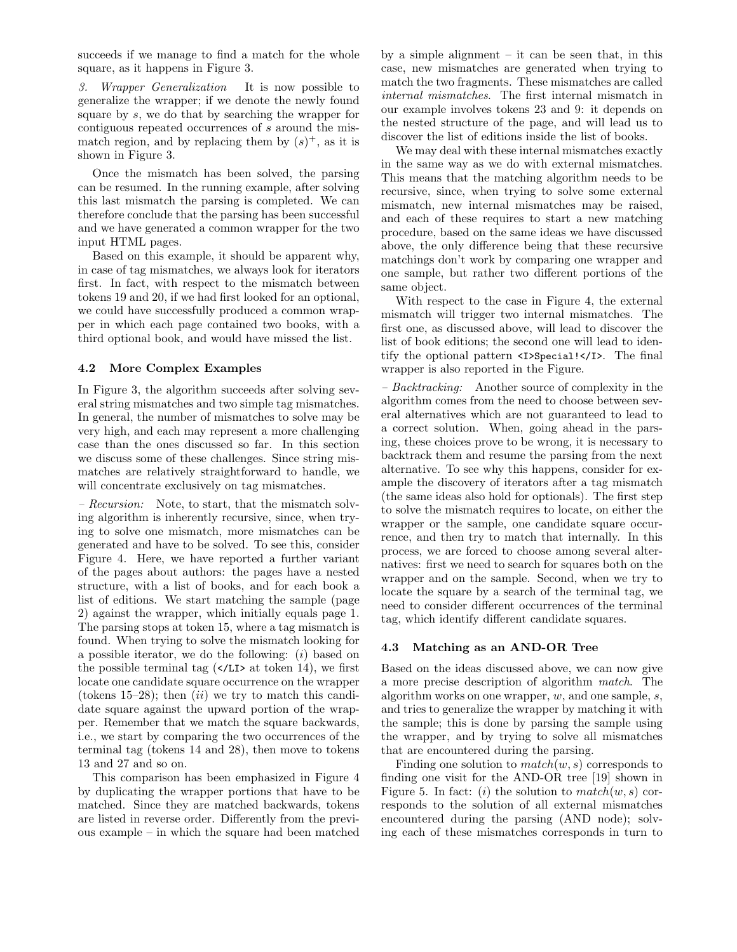succeeds if we manage to find a match for the whole square, as it happens in Figure 3.

3. Wrapper Generalization It is now possible to generalize the wrapper; if we denote the newly found square by s, we do that by searching the wrapper for contiguous repeated occurrences of s around the mismatch region, and by replacing them by  $(s)^+$ , as it is shown in Figure 3.

Once the mismatch has been solved, the parsing can be resumed. In the running example, after solving this last mismatch the parsing is completed. We can therefore conclude that the parsing has been successful and we have generated a common wrapper for the two input HTML pages.

Based on this example, it should be apparent why, in case of tag mismatches, we always look for iterators first. In fact, with respect to the mismatch between tokens 19 and 20, if we had first looked for an optional, we could have successfully produced a common wrapper in which each page contained two books, with a third optional book, and would have missed the list.

#### 4.2 More Complex Examples

In Figure 3, the algorithm succeeds after solving several string mismatches and two simple tag mismatches. In general, the number of mismatches to solve may be very high, and each may represent a more challenging case than the ones discussed so far. In this section we discuss some of these challenges. Since string mismatches are relatively straightforward to handle, we will concentrate exclusively on tag mismatches.

– Recursion: Note, to start, that the mismatch solving algorithm is inherently recursive, since, when trying to solve one mismatch, more mismatches can be generated and have to be solved. To see this, consider Figure 4. Here, we have reported a further variant of the pages about authors: the pages have a nested structure, with a list of books, and for each book a list of editions. We start matching the sample (page 2) against the wrapper, which initially equals page 1. The parsing stops at token 15, where a tag mismatch is found. When trying to solve the mismatch looking for a possible iterator, we do the following: (i) based on the possible terminal tag  $\left\langle \frac{\angle L}{\angle L} \right\rangle$  at token 14), we first locate one candidate square occurrence on the wrapper (tokens  $15-28$ ); then  $(ii)$  we try to match this candidate square against the upward portion of the wrapper. Remember that we match the square backwards, i.e., we start by comparing the two occurrences of the terminal tag (tokens 14 and 28), then move to tokens 13 and 27 and so on.

This comparison has been emphasized in Figure 4 by duplicating the wrapper portions that have to be matched. Since they are matched backwards, tokens are listed in reverse order. Differently from the previous example – in which the square had been matched by a simple alignment  $-$  it can be seen that, in this case, new mismatches are generated when trying to match the two fragments. These mismatches are called internal mismatches. The first internal mismatch in our example involves tokens 23 and 9: it depends on the nested structure of the page, and will lead us to discover the list of editions inside the list of books.

We may deal with these internal mismatches exactly in the same way as we do with external mismatches. This means that the matching algorithm needs to be recursive, since, when trying to solve some external mismatch, new internal mismatches may be raised, and each of these requires to start a new matching procedure, based on the same ideas we have discussed above, the only difference being that these recursive matchings don't work by comparing one wrapper and one sample, but rather two different portions of the same object.

With respect to the case in Figure 4, the external mismatch will trigger two internal mismatches. The first one, as discussed above, will lead to discover the list of book editions; the second one will lead to identify the optional pattern <I>Special!</I>. The final wrapper is also reported in the Figure.

– Backtracking: Another source of complexity in the algorithm comes from the need to choose between several alternatives which are not guaranteed to lead to a correct solution. When, going ahead in the parsing, these choices prove to be wrong, it is necessary to backtrack them and resume the parsing from the next alternative. To see why this happens, consider for example the discovery of iterators after a tag mismatch (the same ideas also hold for optionals). The first step to solve the mismatch requires to locate, on either the wrapper or the sample, one candidate square occurrence, and then try to match that internally. In this process, we are forced to choose among several alternatives: first we need to search for squares both on the wrapper and on the sample. Second, when we try to locate the square by a search of the terminal tag, we need to consider different occurrences of the terminal tag, which identify different candidate squares.

#### 4.3 Matching as an AND-OR Tree

Based on the ideas discussed above, we can now give a more precise description of algorithm match. The algorithm works on one wrapper,  $w$ , and one sample,  $s$ , and tries to generalize the wrapper by matching it with the sample; this is done by parsing the sample using the wrapper, and by trying to solve all mismatches that are encountered during the parsing.

Finding one solution to  $match(w, s)$  corresponds to finding one visit for the AND-OR tree [19] shown in Figure 5. In fact: (i) the solution to  $match(w, s)$  corresponds to the solution of all external mismatches encountered during the parsing (AND node); solving each of these mismatches corresponds in turn to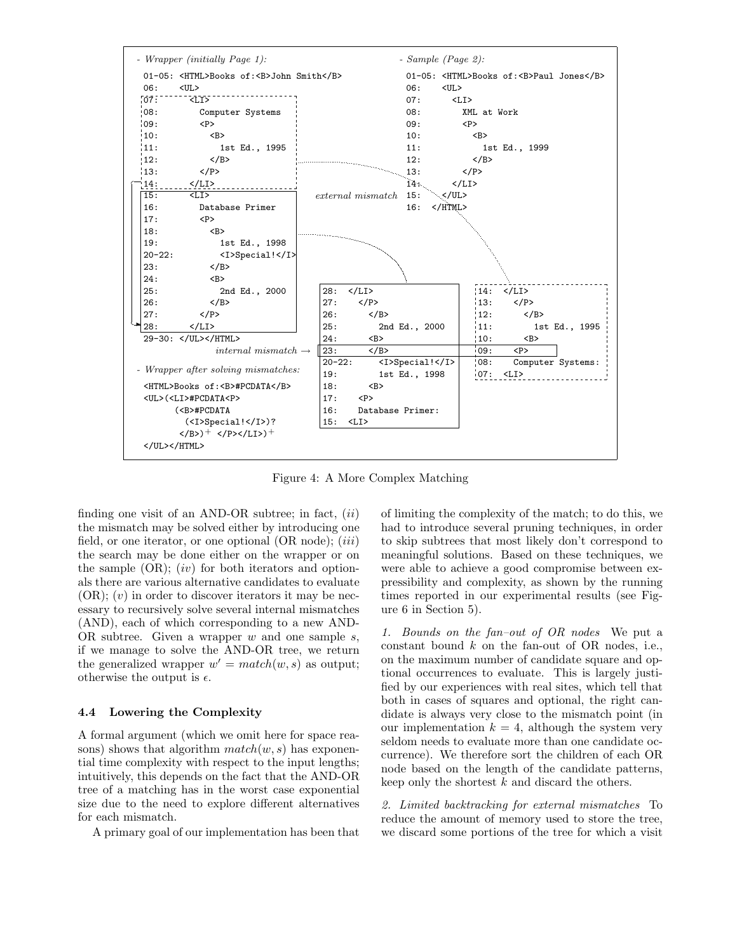

Figure 4: A More Complex Matching

finding one visit of an AND-OR subtree; in fact,  $(ii)$ the mismatch may be solved either by introducing one field, or one iterator, or one optional  $(OR node)$ ;  $(iii)$ the search may be done either on the wrapper or on the sample  $(OR)$ ;  $(iv)$  for both iterators and optionals there are various alternative candidates to evaluate  $(OR); (v)$  in order to discover iterators it may be necessary to recursively solve several internal mismatches (AND), each of which corresponding to a new AND-OR subtree. Given a wrapper  $w$  and one sample  $s$ , if we manage to solve the AND-OR tree, we return the generalized wrapper  $w' = match(w, s)$  as output; otherwise the output is  $\epsilon$ .

#### 4.4 Lowering the Complexity

A formal argument (which we omit here for space reasons) shows that algorithm  $match(w, s)$  has exponential time complexity with respect to the input lengths; intuitively, this depends on the fact that the AND-OR tree of a matching has in the worst case exponential size due to the need to explore different alternatives for each mismatch.

A primary goal of our implementation has been that

of limiting the complexity of the match; to do this, we had to introduce several pruning techniques, in order to skip subtrees that most likely don't correspond to meaningful solutions. Based on these techniques, we were able to achieve a good compromise between expressibility and complexity, as shown by the running times reported in our experimental results (see Figure 6 in Section 5).

1. Bounds on the fan–out of OR nodes We put a constant bound  $k$  on the fan-out of OR nodes, i.e., on the maximum number of candidate square and optional occurrences to evaluate. This is largely justified by our experiences with real sites, which tell that both in cases of squares and optional, the right candidate is always very close to the mismatch point (in our implementation  $k = 4$ , although the system very seldom needs to evaluate more than one candidate occurrence). We therefore sort the children of each OR node based on the length of the candidate patterns, keep only the shortest  $k$  and discard the others.

2. Limited backtracking for external mismatches To reduce the amount of memory used to store the tree, we discard some portions of the tree for which a visit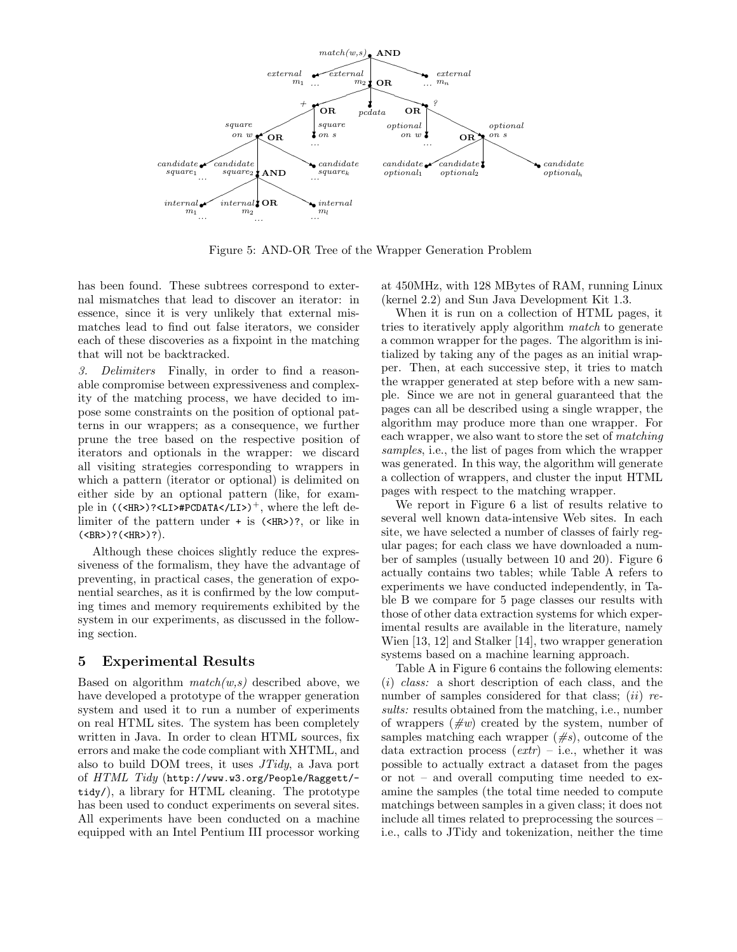

Figure 5: AND-OR Tree of the Wrapper Generation Problem

has been found. These subtrees correspond to external mismatches that lead to discover an iterator: in essence, since it is very unlikely that external mismatches lead to find out false iterators, we consider each of these discoveries as a fixpoint in the matching that will not be backtracked.

3. Delimiters Finally, in order to find a reasonable compromise between expressiveness and complexity of the matching process, we have decided to impose some constraints on the position of optional patterns in our wrappers; as a consequence, we further prune the tree based on the respective position of iterators and optionals in the wrapper: we discard all visiting strategies corresponding to wrappers in which a pattern (iterator or optional) is delimited on either side by an optional pattern (like, for example in  $((\langle HR \rangle)^2 \langle L I \rangle + PCDATA \langle L I \rangle)^+$ , where the left delimiter of the pattern under + is (<HR>)?, or like in  $(**BR**)$ ? $(**HR**)$ ?).

Although these choices slightly reduce the expressiveness of the formalism, they have the advantage of preventing, in practical cases, the generation of exponential searches, as it is confirmed by the low computing times and memory requirements exhibited by the system in our experiments, as discussed in the following section.

# 5 Experimental Results

Based on algorithm  $match(w, s)$  described above, we have developed a prototype of the wrapper generation system and used it to run a number of experiments on real HTML sites. The system has been completely written in Java. In order to clean HTML sources, fix errors and make the code compliant with XHTML, and also to build DOM trees, it uses  $JTidy$ , a Java port of HTML Tidy (http://www.w3.org/People/Raggett/ tidy/), a library for HTML cleaning. The prototype has been used to conduct experiments on several sites. All experiments have been conducted on a machine equipped with an Intel Pentium III processor working

at 450MHz, with 128 MBytes of RAM, running Linux (kernel 2.2) and Sun Java Development Kit 1.3.

When it is run on a collection of HTML pages, it tries to iteratively apply algorithm match to generate a common wrapper for the pages. The algorithm is initialized by taking any of the pages as an initial wrapper. Then, at each successive step, it tries to match the wrapper generated at step before with a new sample. Since we are not in general guaranteed that the pages can all be described using a single wrapper, the algorithm may produce more than one wrapper. For each wrapper, we also want to store the set of matching samples, i.e., the list of pages from which the wrapper was generated. In this way, the algorithm will generate a collection of wrappers, and cluster the input HTML pages with respect to the matching wrapper.

We report in Figure 6 a list of results relative to several well known data-intensive Web sites. In each site, we have selected a number of classes of fairly regular pages; for each class we have downloaded a number of samples (usually between 10 and 20). Figure 6 actually contains two tables; while Table A refers to experiments we have conducted independently, in Table B we compare for 5 page classes our results with those of other data extraction systems for which experimental results are available in the literature, namely Wien [13, 12] and Stalker [14], two wrapper generation systems based on a machine learning approach.

Table A in Figure 6 contains the following elements: (i) class: a short description of each class, and the number of samples considered for that class; *(ii)* results: results obtained from the matching, i.e., number of wrappers  $(\#w)$  created by the system, number of samples matching each wrapper  $(\#s)$ , outcome of the data extraction process  $(extr)$  – i.e., whether it was possible to actually extract a dataset from the pages or not – and overall computing time needed to examine the samples (the total time needed to compute matchings between samples in a given class; it does not include all times related to preprocessing the sources – i.e., calls to JTidy and tokenization, neither the time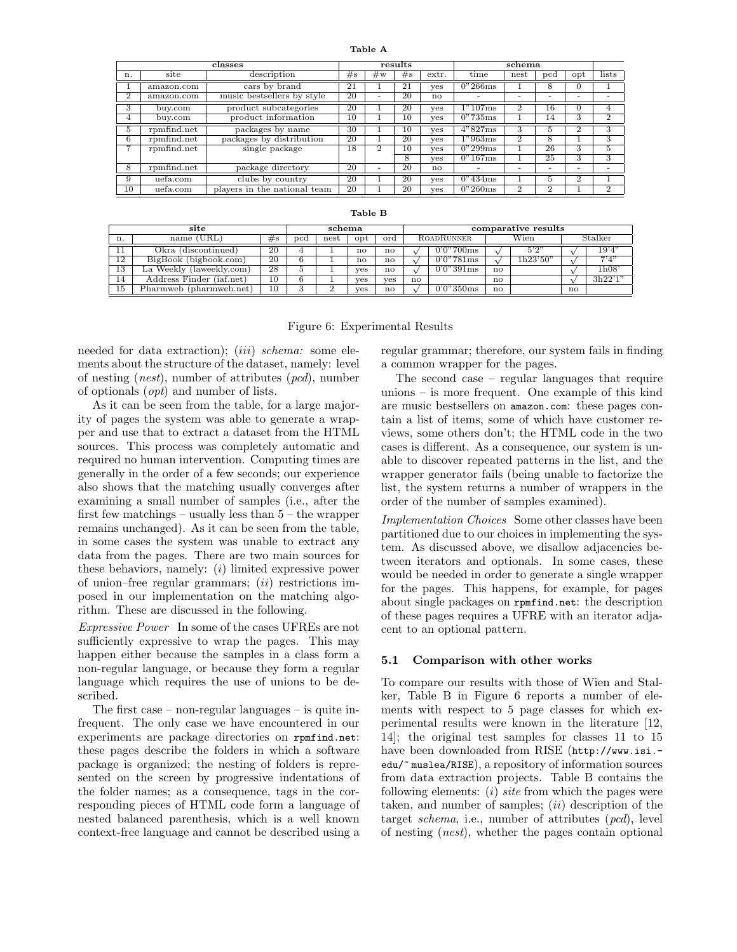| anıe |  |
|------|--|
|------|--|

|    |                                  |                              |    | results        |       | schema     |          |                |                |                |                |
|----|----------------------------------|------------------------------|----|----------------|-------|------------|----------|----------------|----------------|----------------|----------------|
| n. | site                             | description                  |    | $\#\mathbf{w}$ | $\#s$ | $ext{r}$ . | time     | nest           | $_{\rm{pcd}}$  | opt            | lists          |
|    | amazon.com                       | cars by brand                |    |                | 21    | ves        | 0''266ms |                | 8              | O              |                |
| 2  | amazon.com                       | music bests ellers by style  |    |                | 20    | no.        |          |                |                | -              |                |
| 3  | buy.com                          | product subcategories        |    |                | 20    | ves        | 1"107ms  | $\overline{2}$ | 16             | $\Omega$       | 4              |
| 4  | buy.com                          | product information          |    |                | 10    | ves        | 0"735ms  |                | 14             | 3              | $\overline{2}$ |
| 5  | rpmfind.net                      | packages by name             | 30 |                | 10    | ves        | 4"827ms  | 3              | 5.             | $\overline{2}$ | 3              |
| 6  | rpmfind.net                      | packages by distribution     |    | л.             | 20    | ves        | 1"963ms  | $\overline{2}$ | 8              |                | 3              |
|    | rpmfind.net                      | single package               | 18 | $\overline{2}$ | 10    | ves        | 0"299ms  |                | 26             | 3              | 5              |
|    |                                  |                              |    |                | 8     | ves        | 0''167ms |                | 25             | 3              | 3              |
| 8  | package directory<br>rpmfind.net |                              | 20 | -              | 20    | no.        |          | ۰              |                | -              | ۰              |
| 9  | uefa.com                         | clubs by country             | 20 |                | 20    | ves        | 0"434ms  |                | Ð.             | $\overline{2}$ |                |
| 10 | uefa.com                         | players in the national team | 20 |                | 20    | ves        | 0''260ms | $\overline{2}$ | $\overline{2}$ |                | $\overline{2}$ |

#### Table B

| site |                          |        |          | schema        |              |     |                   | comparative results |                        |                        |              |          |  |
|------|--------------------------|--------|----------|---------------|--------------|-----|-------------------|---------------------|------------------------|------------------------|--------------|----------|--|
| n.   | name (URL)               | $\#$ s | pcd      | $_{\rm nest}$ | opt          | ord | <b>ROADRUNNER</b> |                     | Wien                   |                        | Stalker      |          |  |
|      | Okra (discontinued)      | 20     |          |               | $\mathbf{n}$ | no  |                   | 0'0''700ms          |                        | 5'2''                  |              | 19'4"    |  |
| 12   | BigBook (bigbook.com)    | 20     | ь        |               | $n_{\Omega}$ | no  |                   | 0'0''781ms          |                        | $\overline{1h23}$ '50" |              | 7'4''    |  |
| 13   | La Weekly (laweekly.com) | 28     |          |               | ves          | no  |                   | 0'0''391ms          | $\mathbf{n}$           |                        |              | 1h08'    |  |
| 14   | Address Finder (iaf.net) | 10     |          |               | ves          | ves | $n_{\Omega}$      |                     | $\mathbf{n}\mathbf{o}$ |                        |              | 3h22'1'' |  |
| 15   | Pharmweb (pharmweb.net)  | 10     | $\Omega$ |               | ves          | no  |                   | 0'0''350ms          | no                     |                        | $\mathbf{n}$ |          |  |

#### Figure 6: Experimental Results

needed for data extraction); *(iii)* schema: some elements about the structure of the dataset, namely: level of nesting (nest), number of attributes (pcd), number of optionals (opt) and number of lists.

As it can be seen from the table, for a large majority of pages the system was able to generate a wrapper and use that to extract a dataset from the HTML sources. This process was completely automatic and required no human intervention. Computing times are generally in the order of a few seconds; our experience also shows that the matching usually converges after examining a small number of samples (i.e., after the first few matchings – usually less than 5 – the wrapper remains unchanged). As it can be seen from the table, in some cases the system was unable to extract any data from the pages. There are two main sources for these behaviors, namely:  $(i)$  limited expressive power of union–free regular grammars;  $(ii)$  restrictions imposed in our implementation on the matching algorithm. These are discussed in the following.

Expressive Power In some of the cases UFREs are not sufficiently expressive to wrap the pages. This may happen either because the samples in a class form a non-regular language, or because they form a regular language which requires the use of unions to be described.

The first case – non-regular languages – is quite infrequent. The only case we have encountered in our experiments are package directories on rpmfind.net: these pages describe the folders in which a software package is organized; the nesting of folders is represented on the screen by progressive indentations of the folder names; as a consequence, tags in the corresponding pieces of HTML code form a language of nested balanced parenthesis, which is a well known context-free language and cannot be described using a

regular grammar; therefore, our system fails in finding a common wrapper for the pages.

The second case – regular languages that require unions – is more frequent. One example of this kind are music bestsellers on amazon.com: these pages contain a list of items, some of which have customer reviews, some others don't; the HTML code in the two cases is different. As a consequence, our system is unable to discover repeated patterns in the list, and the wrapper generator fails (being unable to factorize the list, the system returns a number of wrappers in the order of the number of samples examined).

Implementation Choices Some other classes have been partitioned due to our choices in implementing the system. As discussed above, we disallow adjacencies between iterators and optionals. In some cases, these would be needed in order to generate a single wrapper for the pages. This happens, for example, for pages about single packages on rpmfind.net: the description of these pages requires a UFRE with an iterator adjacent to an optional pattern.

#### 5.1 Comparison with other works

To compare our results with those of Wien and Stalker, Table B in Figure 6 reports a number of elements with respect to 5 page classes for which experimental results were known in the literature [12, 14]; the original test samples for classes 11 to 15 have been downloaded from RISE (http://www.isi.edu/~ muslea/RISE), a repository of information sources from data extraction projects. Table B contains the following elements:  $(i)$  *site* from which the pages were taken, and number of samples;  $(ii)$  description of the target schema, i.e., number of attributes (pcd), level of nesting (nest), whether the pages contain optional